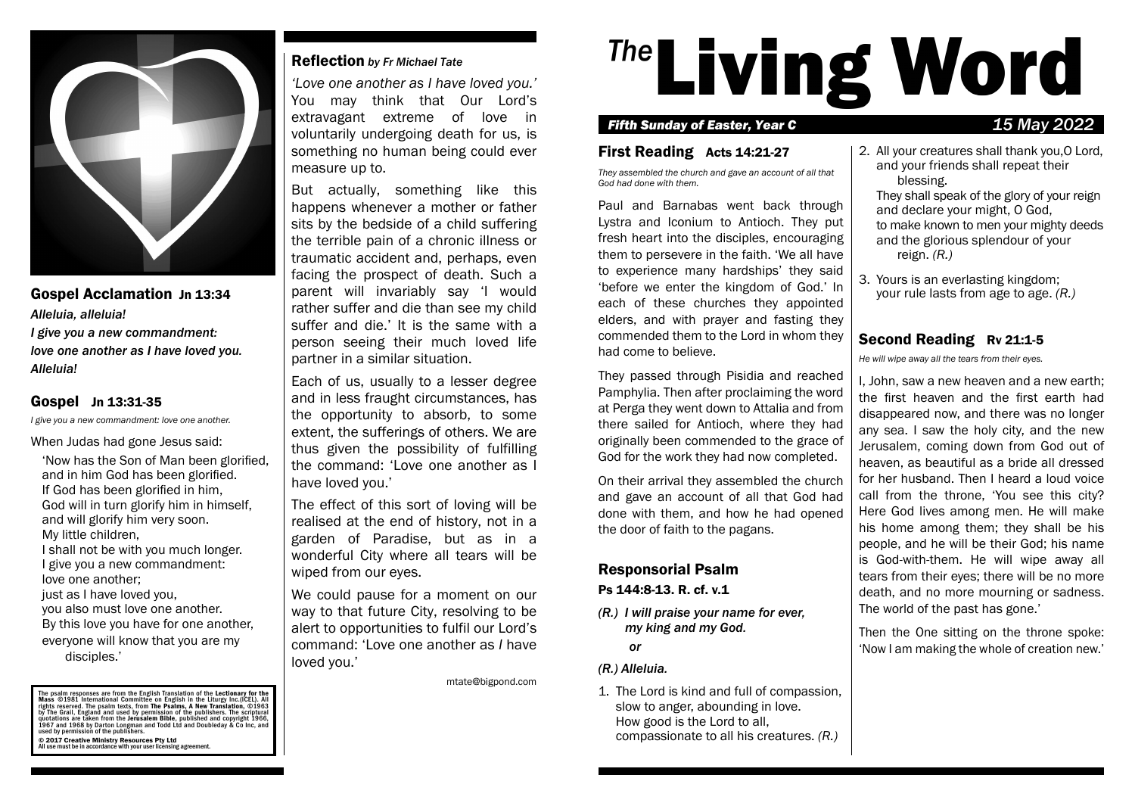

Gospel Acclamation Jn 13:34 *Alleluia, alleluia! I give you a new commandment: love one another as I have loved you. Alleluia!*

#### Gospel Jn 13:31-35

*I give you a new commandment: love one another.*

When Judas had gone Jesus said:

'Now has the Son of Man been glorified, and in him God has been glorified. If God has been glorified in him, God will in turn glorify him in himself, and will glorify him very soon. My little children, I shall not be with you much longer. I give you a new commandment: love one another; just as I have loved you. you also must love one another. By this love you have for one another, everyone will know that you are my disciples.'

The psalm responses are from the English Translation of the Lectionary for the<br>Mass ©1981 International Committee on English in the Liturgy Inc.(ICEL). All rights reserved. The psalm texts, from The Psalms, A New Transilation, ©1963<br>by The Grail, England and used by permission of the publishers. The scriptural<br>quotations are taken from the Jerusalem Bible, published and copyr © 2017 Creative Ministry Resources Pty Ltd All use must be in accordance with your user licensing agreement.

#### Reflection *by Fr Michael Tate*

*'Love one another as I have loved you.'* You may think that Our Lord's extravagant extreme of love in voluntarily undergoing death for us, is something no human being could ever measure up to.

But actually, something like this happens whenever a mother or father sits by the bedside of a child suffering the terrible pain of a chronic illness or traumatic accident and, perhaps, even facing the prospect of death. Such a parent will invariably say 'I would rather suffer and die than see my child suffer and die.' It is the same with a person seeing their much loved life partner in a similar situation.

Each of us, usually to a lesser degree and in less fraught circumstances, has the opportunity to absorb, to some extent, the sufferings of others. We are thus given the possibility of fulfilling the command: 'Love one another as I have loved you.'

The effect of this sort of loving will be realised at the end of history, not in a garden of Paradise, but as in a wonderful City where all tears will be wiped from our eyes.

We could pause for a moment on our way to that future City, resolving to be alert to opportunities to fulfil our Lord's command: 'Love one another as *I* have loved you.'

mtate@bigpond.com

# <sup>The</sup>Living Word

#### *Fifth Sunday of Easter, Year C 15 May 2022*

### First Reading Acts 14:21-27

*They assembled the church and gave an account of all that God had done with them.*

Paul and Barnabas went back through Lystra and Iconium to Antioch. They put fresh heart into the disciples, encouraging them to persevere in the faith. 'We all have to experience many hardships' they said 'before we enter the kingdom of God.' In each of these churches they appointed elders, and with prayer and fasting they commended them to the Lord in whom they had come to believe.

They passed through Pisidia and reached Pamphylia. Then after proclaiming the word at Perga they went down to Attalia and from there sailed for Antioch, where they had originally been commended to the grace of God for the work they had now completed.

On their arrival they assembled the church and gave an account of all that God had done with them, and how he had opened the door of faith to the pagans.

# Responsorial Psalm

#### Ps 144:8-13. R. cf. v.1

*(R.) I will praise your name for ever, my king and my God.*

*or*

#### *(R.) Alleluia.*

1. The Lord is kind and full of compassion, slow to anger, abounding in love. How good is the Lord to all, compassionate to all his creatures. *(R.)*

2. All your creatures shall thank you,O Lord, and your friends shall repeat their blessing.

They shall speak of the glory of your reign and declare your might, O God, to make known to men your mighty deeds and the glorious splendour of your reign. *(R.)*

3. Yours is an everlasting kingdom; your rule lasts from age to age. *(R.)*

# Second Reading Rv 21:1-5

*He will wipe away all the tears from their eyes.*

I, John, saw a new heaven and a new earth; the first heaven and the first earth had disappeared now, and there was no longer any sea. I saw the holy city, and the new Jerusalem, coming down from God out of heaven, as beautiful as a bride all dressed for her husband. Then I heard a loud voice call from the throne, 'You see this city? Here God lives among men. He will make his home among them; they shall be his people, and he will be their God; his name is God-with-them. He will wipe away all tears from their eyes; there will be no more death, and no more mourning or sadness. The world of the past has gone.'

Then the One sitting on the throne spoke: 'Now I am making the whole of creation new.'